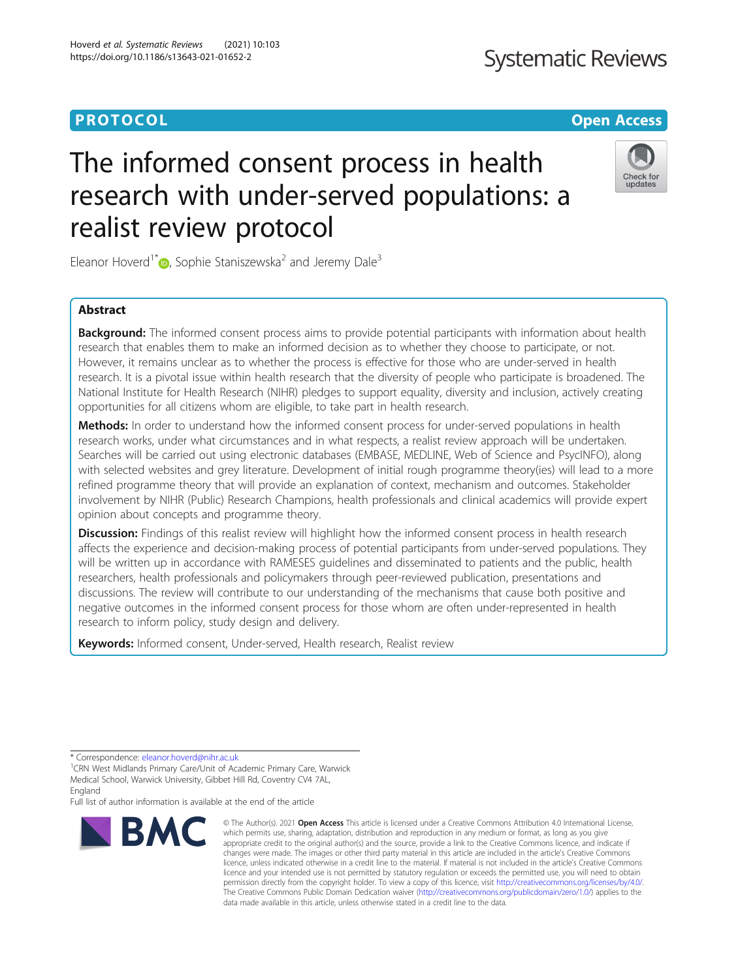## **Systematic Reviews**

### **PROTOCOL CONSUMING THE CONSUMING TEACHER CONSUMING THE CONSUMING TEACHER CONSUMING THE CONSUMING TEACHER CONSUMING**

# The informed consent process in health research with under-served populations: a realist review protocol



Eleanor Hoverd<sup>1\*</sup> $\bullet$ [,](http://orcid.org/0000-0002-8482-655X) Sophie Staniszewska<sup>2</sup> and Jeremy Dale<sup>3</sup>

### Abstract

**Background:** The informed consent process aims to provide potential participants with information about health research that enables them to make an informed decision as to whether they choose to participate, or not. However, it remains unclear as to whether the process is effective for those who are under-served in health research. It is a pivotal issue within health research that the diversity of people who participate is broadened. The National Institute for Health Research (NIHR) pledges to support equality, diversity and inclusion, actively creating opportunities for all citizens whom are eligible, to take part in health research.

Methods: In order to understand how the informed consent process for under-served populations in health research works, under what circumstances and in what respects, a realist review approach will be undertaken. Searches will be carried out using electronic databases (EMBASE, MEDLINE, Web of Science and PsycINFO), along with selected websites and grey literature. Development of initial rough programme theory(ies) will lead to a more refined programme theory that will provide an explanation of context, mechanism and outcomes. Stakeholder involvement by NIHR (Public) Research Champions, health professionals and clinical academics will provide expert opinion about concepts and programme theory.

Discussion: Findings of this realist review will highlight how the informed consent process in health research affects the experience and decision-making process of potential participants from under-served populations. They will be written up in accordance with RAMESES guidelines and disseminated to patients and the public, health researchers, health professionals and policymakers through peer-reviewed publication, presentations and discussions. The review will contribute to our understanding of the mechanisms that cause both positive and negative outcomes in the informed consent process for those whom are often under-represented in health research to inform policy, study design and delivery.

Keywords: Informed consent, Under-served, Health research, Realist review

Full list of author information is available at the end of the article



<sup>©</sup> The Author(s), 2021 **Open Access** This article is licensed under a Creative Commons Attribution 4.0 International License, which permits use, sharing, adaptation, distribution and reproduction in any medium or format, as long as you give appropriate credit to the original author(s) and the source, provide a link to the Creative Commons licence, and indicate if changes were made. The images or other third party material in this article are included in the article's Creative Commons licence, unless indicated otherwise in a credit line to the material. If material is not included in the article's Creative Commons licence and your intended use is not permitted by statutory regulation or exceeds the permitted use, you will need to obtain permission directly from the copyright holder. To view a copy of this licence, visit [http://creativecommons.org/licenses/by/4.0/.](http://creativecommons.org/licenses/by/4.0/) The Creative Commons Public Domain Dedication waiver [\(http://creativecommons.org/publicdomain/zero/1.0/](http://creativecommons.org/publicdomain/zero/1.0/)) applies to the data made available in this article, unless otherwise stated in a credit line to the data.

<sup>\*</sup> Correspondence: [eleanor.hoverd@nihr.ac.uk](mailto:eleanor.hoverd@nihr.ac.uk) <sup>1</sup>

<sup>&</sup>lt;sup>1</sup>CRN West Midlands Primary Care/Unit of Academic Primary Care, Warwick Medical School, Warwick University, Gibbet Hill Rd, Coventry CV4 7AL, England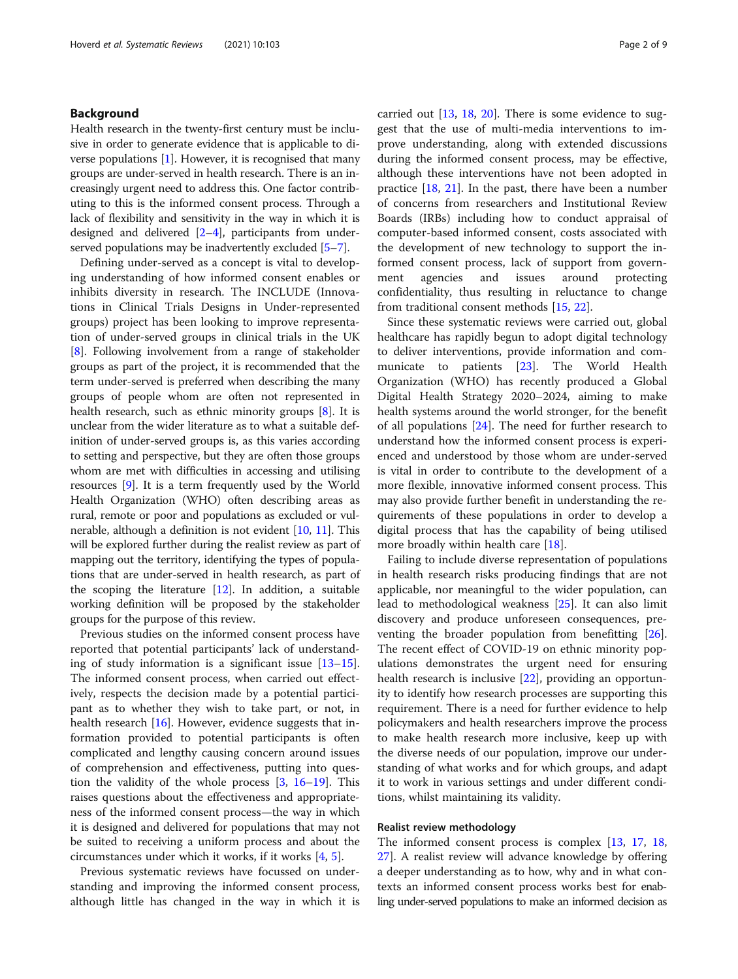#### Background

Health research in the twenty-first century must be inclusive in order to generate evidence that is applicable to diverse populations  $[1]$  $[1]$ . However, it is recognised that many groups are under-served in health research. There is an increasingly urgent need to address this. One factor contributing to this is the informed consent process. Through a lack of flexibility and sensitivity in the way in which it is designed and delivered [\[2](#page-7-0)–[4](#page-7-0)], participants from under-served populations may be inadvertently excluded [[5](#page-7-0)–[7](#page-7-0)].

Defining under-served as a concept is vital to developing understanding of how informed consent enables or inhibits diversity in research. The INCLUDE (Innovations in Clinical Trials Designs in Under-represented groups) project has been looking to improve representation of under-served groups in clinical trials in the UK [[8\]](#page-7-0). Following involvement from a range of stakeholder groups as part of the project, it is recommended that the term under-served is preferred when describing the many groups of people whom are often not represented in health research, such as ethnic minority groups [\[8\]](#page-7-0). It is unclear from the wider literature as to what a suitable definition of under-served groups is, as this varies according to setting and perspective, but they are often those groups whom are met with difficulties in accessing and utilising resources [[9](#page-7-0)]. It is a term frequently used by the World Health Organization (WHO) often describing areas as rural, remote or poor and populations as excluded or vulnerable, although a definition is not evident [[10](#page-7-0), [11](#page-7-0)]. This will be explored further during the realist review as part of mapping out the territory, identifying the types of populations that are under-served in health research, as part of the scoping the literature  $[12]$  $[12]$  $[12]$ . In addition, a suitable working definition will be proposed by the stakeholder groups for the purpose of this review.

Previous studies on the informed consent process have reported that potential participants' lack of understanding of study information is a significant issue [[13](#page-7-0)–[15](#page-7-0)]. The informed consent process, when carried out effectively, respects the decision made by a potential participant as to whether they wish to take part, or not, in health research [\[16\]](#page-7-0). However, evidence suggests that information provided to potential participants is often complicated and lengthy causing concern around issues of comprehension and effectiveness, putting into question the validity of the whole process [\[3](#page-7-0), [16](#page-7-0)–[19\]](#page-7-0). This raises questions about the effectiveness and appropriateness of the informed consent process—the way in which it is designed and delivered for populations that may not be suited to receiving a uniform process and about the circumstances under which it works, if it works [\[4](#page-7-0), [5](#page-7-0)].

Previous systematic reviews have focussed on understanding and improving the informed consent process, although little has changed in the way in which it is carried out [\[13,](#page-7-0) [18,](#page-7-0) [20](#page-7-0)]. There is some evidence to suggest that the use of multi-media interventions to improve understanding, along with extended discussions during the informed consent process, may be effective, although these interventions have not been adopted in practice  $[18, 21]$  $[18, 21]$  $[18, 21]$  $[18, 21]$  $[18, 21]$ . In the past, there have been a number of concerns from researchers and Institutional Review Boards (IRBs) including how to conduct appraisal of computer-based informed consent, costs associated with the development of new technology to support the informed consent process, lack of support from government agencies and issues around protecting confidentiality, thus resulting in reluctance to change from traditional consent methods [[15](#page-7-0), [22](#page-8-0)].

Since these systematic reviews were carried out, global healthcare has rapidly begun to adopt digital technology to deliver interventions, provide information and communicate to patients [[23\]](#page-8-0). The World Health Organization (WHO) has recently produced a Global Digital Health Strategy 2020–2024, aiming to make health systems around the world stronger, for the benefit of all populations [[24\]](#page-8-0). The need for further research to understand how the informed consent process is experienced and understood by those whom are under-served is vital in order to contribute to the development of a more flexible, innovative informed consent process. This may also provide further benefit in understanding the requirements of these populations in order to develop a digital process that has the capability of being utilised more broadly within health care [\[18](#page-7-0)].

Failing to include diverse representation of populations in health research risks producing findings that are not applicable, nor meaningful to the wider population, can lead to methodological weakness [[25\]](#page-8-0). It can also limit discovery and produce unforeseen consequences, preventing the broader population from benefitting [\[26](#page-8-0)]. The recent effect of COVID-19 on ethnic minority populations demonstrates the urgent need for ensuring health research is inclusive [[22](#page-8-0)], providing an opportunity to identify how research processes are supporting this requirement. There is a need for further evidence to help policymakers and health researchers improve the process to make health research more inclusive, keep up with the diverse needs of our population, improve our understanding of what works and for which groups, and adapt it to work in various settings and under different conditions, whilst maintaining its validity.

#### Realist review methodology

The informed consent process is complex [\[13,](#page-7-0) [17,](#page-7-0) [18](#page-7-0), [27\]](#page-8-0). A realist review will advance knowledge by offering a deeper understanding as to how, why and in what contexts an informed consent process works best for enabling under-served populations to make an informed decision as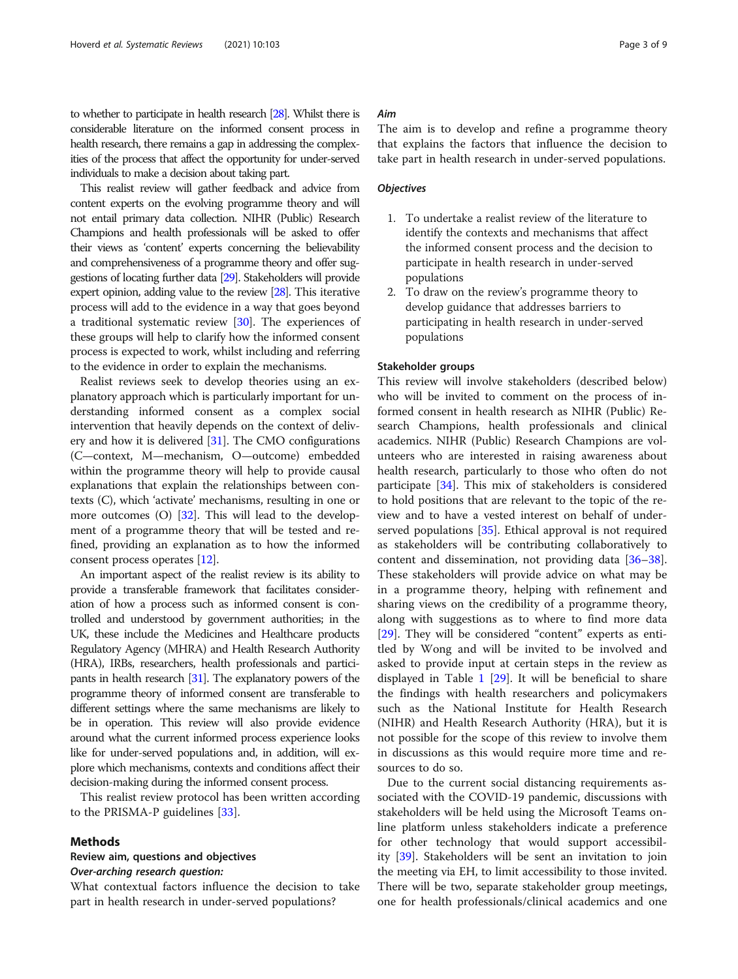to whether to participate in health research [\[28](#page-8-0)]. Whilst there is considerable literature on the informed consent process in health research, there remains a gap in addressing the complexities of the process that affect the opportunity for under-served individuals to make a decision about taking part.

This realist review will gather feedback and advice from content experts on the evolving programme theory and will not entail primary data collection. NIHR (Public) Research Champions and health professionals will be asked to offer their views as 'content' experts concerning the believability and comprehensiveness of a programme theory and offer suggestions of locating further data [\[29](#page-8-0)]. Stakeholders will provide expert opinion, adding value to the review [\[28](#page-8-0)]. This iterative process will add to the evidence in a way that goes beyond a traditional systematic review [\[30\]](#page-8-0). The experiences of these groups will help to clarify how the informed consent process is expected to work, whilst including and referring to the evidence in order to explain the mechanisms.

Realist reviews seek to develop theories using an explanatory approach which is particularly important for understanding informed consent as a complex social intervention that heavily depends on the context of delivery and how it is delivered [\[31\]](#page-8-0). The CMO configurations (C—context, M—mechanism, O—outcome) embedded within the programme theory will help to provide causal explanations that explain the relationships between contexts (C), which 'activate' mechanisms, resulting in one or more outcomes (O) [\[32\]](#page-8-0). This will lead to the development of a programme theory that will be tested and refined, providing an explanation as to how the informed consent process operates [\[12\]](#page-7-0).

An important aspect of the realist review is its ability to provide a transferable framework that facilitates consideration of how a process such as informed consent is controlled and understood by government authorities; in the UK, these include the Medicines and Healthcare products Regulatory Agency (MHRA) and Health Research Authority (HRA), IRBs, researchers, health professionals and participants in health research [[31\]](#page-8-0). The explanatory powers of the programme theory of informed consent are transferable to different settings where the same mechanisms are likely to be in operation. This review will also provide evidence around what the current informed process experience looks like for under-served populations and, in addition, will explore which mechanisms, contexts and conditions affect their decision-making during the informed consent process.

This realist review protocol has been written according to the PRISMA-P guidelines [[33\]](#page-8-0).

#### Methods

#### Review aim, questions and objectives Over-arching research question:

What contextual factors influence the decision to take part in health research in under-served populations?

#### Aim

The aim is to develop and refine a programme theory that explains the factors that influence the decision to take part in health research in under-served populations.

#### **Objectives**

- 1. To undertake a realist review of the literature to identify the contexts and mechanisms that affect the informed consent process and the decision to participate in health research in under-served populations
- 2. To draw on the review's programme theory to develop guidance that addresses barriers to participating in health research in under-served populations

#### Stakeholder groups

This review will involve stakeholders (described below) who will be invited to comment on the process of informed consent in health research as NIHR (Public) Research Champions, health professionals and clinical academics. NIHR (Public) Research Champions are volunteers who are interested in raising awareness about health research, particularly to those who often do not participate [\[34](#page-8-0)]. This mix of stakeholders is considered to hold positions that are relevant to the topic of the review and to have a vested interest on behalf of underserved populations [[35](#page-8-0)]. Ethical approval is not required as stakeholders will be contributing collaboratively to content and dissemination, not providing data [[36](#page-8-0)–[38](#page-8-0)]. These stakeholders will provide advice on what may be in a programme theory, helping with refinement and sharing views on the credibility of a programme theory, along with suggestions as to where to find more data [[29\]](#page-8-0). They will be considered "content" experts as entitled by Wong and will be invited to be involved and asked to provide input at certain steps in the review as displayed in Table  $1$  [[29\]](#page-8-0). It will be beneficial to share the findings with health researchers and policymakers such as the National Institute for Health Research (NIHR) and Health Research Authority (HRA), but it is not possible for the scope of this review to involve them in discussions as this would require more time and resources to do so.

Due to the current social distancing requirements associated with the COVID-19 pandemic, discussions with stakeholders will be held using the Microsoft Teams online platform unless stakeholders indicate a preference for other technology that would support accessibility [\[39](#page-8-0)]. Stakeholders will be sent an invitation to join the meeting via EH, to limit accessibility to those invited. There will be two, separate stakeholder group meetings, one for health professionals/clinical academics and one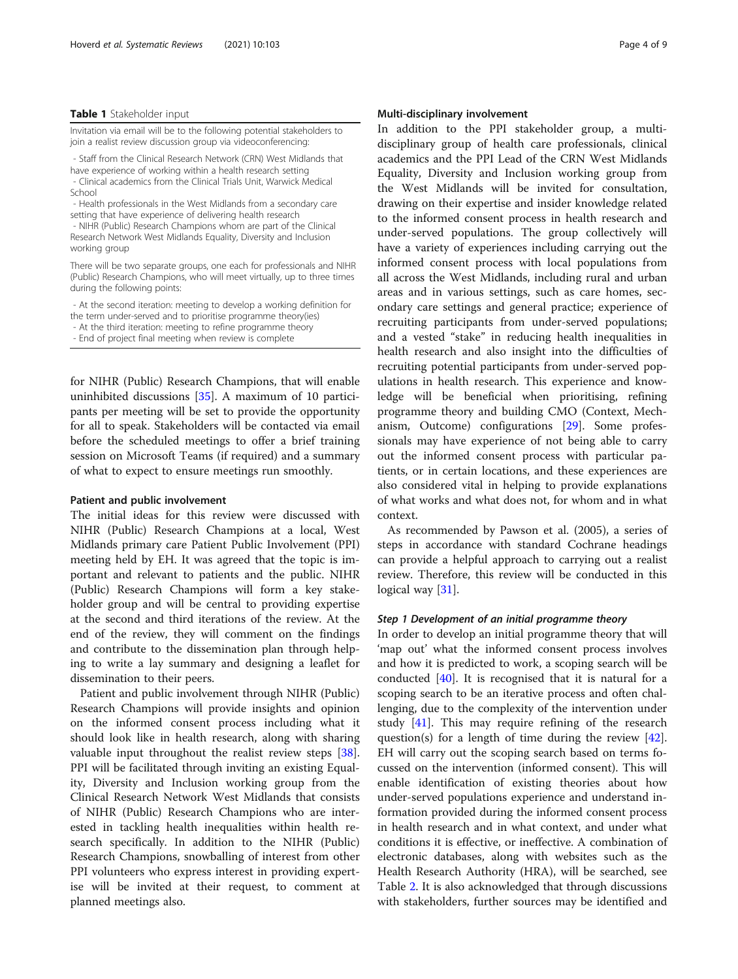#### <span id="page-3-0"></span>Table 1 Stakeholder input

Invitation via email will be to the following potential stakeholders to join a realist review discussion group via videoconferencing:

- Staff from the Clinical Research Network (CRN) West Midlands that have experience of working within a health research setting - Clinical academics from the Clinical Trials Unit, Warwick Medical School

- Health professionals in the West Midlands from a secondary care setting that have experience of delivering health research

- NIHR (Public) Research Champions whom are part of the Clinical Research Network West Midlands Equality, Diversity and Inclusion working group

There will be two separate groups, one each for professionals and NIHR (Public) Research Champions, who will meet virtually, up to three times during the following points:

- At the second iteration: meeting to develop a working definition for the term under-served and to prioritise programme theory(ies)

- At the third iteration: meeting to refine programme theory

- End of project final meeting when review is complete

for NIHR (Public) Research Champions, that will enable uninhibited discussions [\[35](#page-8-0)]. A maximum of 10 participants per meeting will be set to provide the opportunity for all to speak. Stakeholders will be contacted via email before the scheduled meetings to offer a brief training session on Microsoft Teams (if required) and a summary of what to expect to ensure meetings run smoothly.

#### Patient and public involvement

The initial ideas for this review were discussed with NIHR (Public) Research Champions at a local, West Midlands primary care Patient Public Involvement (PPI) meeting held by EH. It was agreed that the topic is important and relevant to patients and the public. NIHR (Public) Research Champions will form a key stakeholder group and will be central to providing expertise at the second and third iterations of the review. At the end of the review, they will comment on the findings and contribute to the dissemination plan through helping to write a lay summary and designing a leaflet for dissemination to their peers.

Patient and public involvement through NIHR (Public) Research Champions will provide insights and opinion on the informed consent process including what it should look like in health research, along with sharing valuable input throughout the realist review steps [\[38](#page-8-0)]. PPI will be facilitated through inviting an existing Equality, Diversity and Inclusion working group from the Clinical Research Network West Midlands that consists of NIHR (Public) Research Champions who are interested in tackling health inequalities within health research specifically. In addition to the NIHR (Public) Research Champions, snowballing of interest from other PPI volunteers who express interest in providing expertise will be invited at their request, to comment at planned meetings also.

#### Multi-disciplinary involvement

In addition to the PPI stakeholder group, a multidisciplinary group of health care professionals, clinical academics and the PPI Lead of the CRN West Midlands Equality, Diversity and Inclusion working group from the West Midlands will be invited for consultation, drawing on their expertise and insider knowledge related to the informed consent process in health research and under-served populations. The group collectively will have a variety of experiences including carrying out the informed consent process with local populations from all across the West Midlands, including rural and urban areas and in various settings, such as care homes, secondary care settings and general practice; experience of recruiting participants from under-served populations; and a vested "stake" in reducing health inequalities in health research and also insight into the difficulties of recruiting potential participants from under-served populations in health research. This experience and knowledge will be beneficial when prioritising, refining programme theory and building CMO (Context, Mechanism, Outcome) configurations [[29\]](#page-8-0). Some professionals may have experience of not being able to carry out the informed consent process with particular patients, or in certain locations, and these experiences are also considered vital in helping to provide explanations of what works and what does not, for whom and in what context.

As recommended by Pawson et al. (2005), a series of steps in accordance with standard Cochrane headings can provide a helpful approach to carrying out a realist review. Therefore, this review will be conducted in this logical way [[31](#page-8-0)].

#### Step 1 Development of an initial programme theory

In order to develop an initial programme theory that will 'map out' what the informed consent process involves and how it is predicted to work, a scoping search will be conducted [[40\]](#page-8-0). It is recognised that it is natural for a scoping search to be an iterative process and often challenging, due to the complexity of the intervention under study [\[41\]](#page-8-0). This may require refining of the research question(s) for a length of time during the review [\[42](#page-8-0)]. EH will carry out the scoping search based on terms focussed on the intervention (informed consent). This will enable identification of existing theories about how under-served populations experience and understand information provided during the informed consent process in health research and in what context, and under what conditions it is effective, or ineffective. A combination of electronic databases, along with websites such as the Health Research Authority (HRA), will be searched, see Table [2.](#page-4-0) It is also acknowledged that through discussions with stakeholders, further sources may be identified and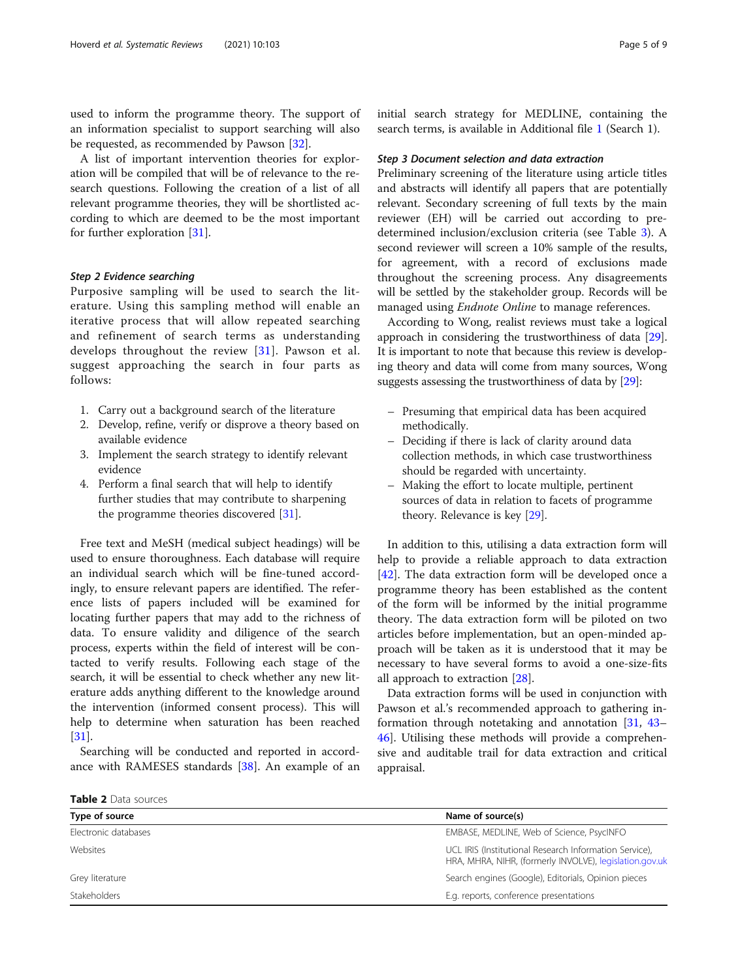<span id="page-4-0"></span>used to inform the programme theory. The support of an information specialist to support searching will also be requested, as recommended by Pawson [\[32\]](#page-8-0).

A list of important intervention theories for exploration will be compiled that will be of relevance to the research questions. Following the creation of a list of all relevant programme theories, they will be shortlisted according to which are deemed to be the most important for further exploration [\[31](#page-8-0)].

#### Step 2 Evidence searching

Purposive sampling will be used to search the literature. Using this sampling method will enable an iterative process that will allow repeated searching and refinement of search terms as understanding develops throughout the review [[31](#page-8-0)]. Pawson et al. suggest approaching the search in four parts as follows:

- 1. Carry out a background search of the literature
- 2. Develop, refine, verify or disprove a theory based on available evidence
- 3. Implement the search strategy to identify relevant evidence
- 4. Perform a final search that will help to identify further studies that may contribute to sharpening the programme theories discovered [\[31\]](#page-8-0).

Free text and MeSH (medical subject headings) will be used to ensure thoroughness. Each database will require an individual search which will be fine-tuned accordingly, to ensure relevant papers are identified. The reference lists of papers included will be examined for locating further papers that may add to the richness of data. To ensure validity and diligence of the search process, experts within the field of interest will be contacted to verify results. Following each stage of the search, it will be essential to check whether any new literature adds anything different to the knowledge around the intervention (informed consent process). This will help to determine when saturation has been reached [[31\]](#page-8-0).

Searching will be conducted and reported in accordance with RAMESES standards [[38\]](#page-8-0). An example of an initial search strategy for MEDLINE, containing the search terms, is available in Additional file [1](#page-7-0) (Search 1).

#### Step 3 Document selection and data extraction

Preliminary screening of the literature using article titles and abstracts will identify all papers that are potentially relevant. Secondary screening of full texts by the main reviewer (EH) will be carried out according to predetermined inclusion/exclusion criteria (see Table [3](#page-5-0)). A second reviewer will screen a 10% sample of the results, for agreement, with a record of exclusions made throughout the screening process. Any disagreements will be settled by the stakeholder group. Records will be managed using *Endnote Online* to manage references.

According to Wong, realist reviews must take a logical approach in considering the trustworthiness of data [[29](#page-8-0)]. It is important to note that because this review is developing theory and data will come from many sources, Wong suggests assessing the trustworthiness of data by [\[29](#page-8-0)]:

- Presuming that empirical data has been acquired methodically.
- Deciding if there is lack of clarity around data collection methods, in which case trustworthiness should be regarded with uncertainty.
- Making the effort to locate multiple, pertinent sources of data in relation to facets of programme theory. Relevance is key [[29\]](#page-8-0).

In addition to this, utilising a data extraction form will help to provide a reliable approach to data extraction [[42\]](#page-8-0). The data extraction form will be developed once a programme theory has been established as the content of the form will be informed by the initial programme theory. The data extraction form will be piloted on two articles before implementation, but an open-minded approach will be taken as it is understood that it may be necessary to have several forms to avoid a one-size-fits all approach to extraction [\[28](#page-8-0)].

Data extraction forms will be used in conjunction with Pawson et al.'s recommended approach to gathering information through notetaking and annotation [\[31](#page-8-0), [43](#page-8-0)– [46\]](#page-8-0). Utilising these methods will provide a comprehensive and auditable trail for data extraction and critical appraisal.

Table 2 Data sources

| Name of source(s)                                                                                                 |  |  |  |
|-------------------------------------------------------------------------------------------------------------------|--|--|--|
| EMBASE, MEDLINE, Web of Science, PsycINFO                                                                         |  |  |  |
| UCL IRIS (Institutional Research Information Service),<br>HRA, MHRA, NIHR, (formerly INVOLVE), legislation.gov.uk |  |  |  |
| Search engines (Google), Editorials, Opinion pieces                                                               |  |  |  |
| E.g. reports, conference presentations                                                                            |  |  |  |
|                                                                                                                   |  |  |  |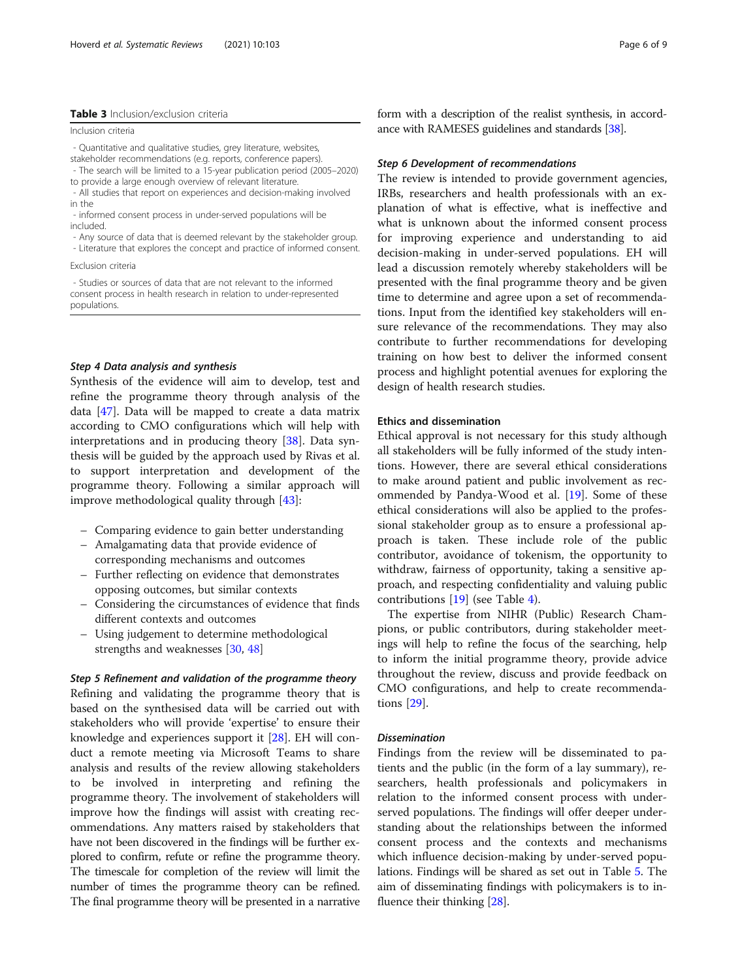#### <span id="page-5-0"></span>Table 3 Inclusion/exclusion criteria

Inclusion criteria

- Quantitative and qualitative studies, grey literature, websites,
- stakeholder recommendations (e.g. reports, conference papers).
- The search will be limited to a 15-year publication period (2005–2020)
- to provide a large enough overview of relevant literature. - All studies that report on experiences and decision-making involved in the
- informed consent process in under-served populations will be included.
- Any source of data that is deemed relevant by the stakeholder group.
- Literature that explores the concept and practice of informed consent.

Exclusion criteria

- Studies or sources of data that are not relevant to the informed consent process in health research in relation to under-represented populations.

#### Step 4 Data analysis and synthesis

Synthesis of the evidence will aim to develop, test and refine the programme theory through analysis of the data [\[47\]](#page-8-0). Data will be mapped to create a data matrix according to CMO configurations which will help with interpretations and in producing theory [\[38\]](#page-8-0). Data synthesis will be guided by the approach used by Rivas et al. to support interpretation and development of the programme theory. Following a similar approach will improve methodological quality through [\[43](#page-8-0)]:

- Comparing evidence to gain better understanding
- Amalgamating data that provide evidence of corresponding mechanisms and outcomes
- Further reflecting on evidence that demonstrates opposing outcomes, but similar contexts
- Considering the circumstances of evidence that finds different contexts and outcomes
- Using judgement to determine methodological strengths and weaknesses [\[30,](#page-8-0) [48\]](#page-8-0)

Step 5 Refinement and validation of the programme theory Refining and validating the programme theory that is based on the synthesised data will be carried out with stakeholders who will provide 'expertise' to ensure their knowledge and experiences support it [\[28](#page-8-0)]. EH will conduct a remote meeting via Microsoft Teams to share analysis and results of the review allowing stakeholders to be involved in interpreting and refining the programme theory. The involvement of stakeholders will improve how the findings will assist with creating recommendations. Any matters raised by stakeholders that have not been discovered in the findings will be further explored to confirm, refute or refine the programme theory. The timescale for completion of the review will limit the number of times the programme theory can be refined. The final programme theory will be presented in a narrative form with a description of the realist synthesis, in accordance with RAMESES guidelines and standards [\[38\]](#page-8-0).

#### Step 6 Development of recommendations

The review is intended to provide government agencies, IRBs, researchers and health professionals with an explanation of what is effective, what is ineffective and what is unknown about the informed consent process for improving experience and understanding to aid decision-making in under-served populations. EH will lead a discussion remotely whereby stakeholders will be presented with the final programme theory and be given time to determine and agree upon a set of recommendations. Input from the identified key stakeholders will ensure relevance of the recommendations. They may also contribute to further recommendations for developing training on how best to deliver the informed consent process and highlight potential avenues for exploring the design of health research studies.

#### Ethics and dissemination

Ethical approval is not necessary for this study although all stakeholders will be fully informed of the study intentions. However, there are several ethical considerations to make around patient and public involvement as recommended by Pandya-Wood et al. [\[19](#page-7-0)]. Some of these ethical considerations will also be applied to the professional stakeholder group as to ensure a professional approach is taken. These include role of the public contributor, avoidance of tokenism, the opportunity to withdraw, fairness of opportunity, taking a sensitive approach, and respecting confidentiality and valuing public contributions [[19](#page-7-0)] (see Table [4](#page-6-0)).

The expertise from NIHR (Public) Research Champions, or public contributors, during stakeholder meetings will help to refine the focus of the searching, help to inform the initial programme theory, provide advice throughout the review, discuss and provide feedback on CMO configurations, and help to create recommendations [[29\]](#page-8-0).

#### **Dissemination**

Findings from the review will be disseminated to patients and the public (in the form of a lay summary), researchers, health professionals and policymakers in relation to the informed consent process with underserved populations. The findings will offer deeper understanding about the relationships between the informed consent process and the contexts and mechanisms which influence decision-making by under-served populations. Findings will be shared as set out in Table [5](#page-6-0). The aim of disseminating findings with policymakers is to influence their thinking [\[28](#page-8-0)].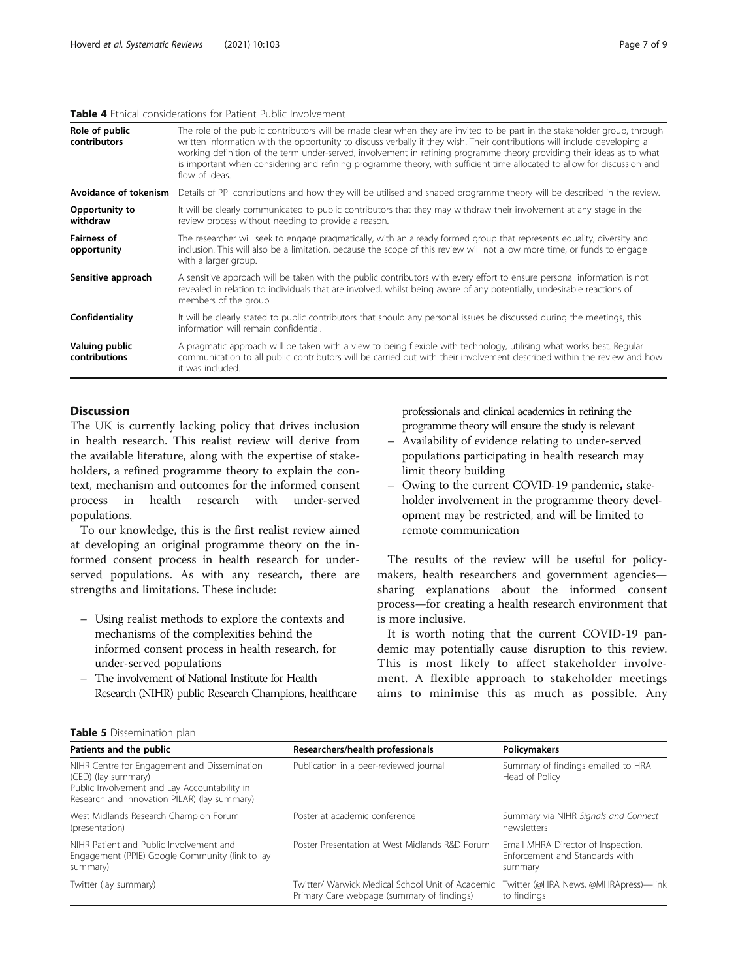#### <span id="page-6-0"></span>Table 4 Fthical considerations for Patient Public Involvement

| Role of public<br>contributors    | The role of the public contributors will be made clear when they are invited to be part in the stakeholder group, through<br>written information with the opportunity to discuss verbally if they wish. Their contributions will include developing a<br>working definition of the term under-served, involvement in refining programme theory providing their ideas as to what<br>is important when considering and refining programme theory, with sufficient time allocated to allow for discussion and<br>flow of ideas. |  |
|-----------------------------------|------------------------------------------------------------------------------------------------------------------------------------------------------------------------------------------------------------------------------------------------------------------------------------------------------------------------------------------------------------------------------------------------------------------------------------------------------------------------------------------------------------------------------|--|
| Avoidance of tokenism             | Details of PPI contributions and how they will be utilised and shaped programme theory will be described in the review.                                                                                                                                                                                                                                                                                                                                                                                                      |  |
| Opportunity to<br>withdraw        | It will be clearly communicated to public contributors that they may withdraw their involvement at any stage in the<br>review process without needing to provide a reason.                                                                                                                                                                                                                                                                                                                                                   |  |
| <b>Fairness of</b><br>opportunity | The researcher will seek to engage pragmatically, with an already formed group that represents equality, diversity and<br>inclusion. This will also be a limitation, because the scope of this review will not allow more time, or funds to engage<br>with a larger group.                                                                                                                                                                                                                                                   |  |
| Sensitive approach                | A sensitive approach will be taken with the public contributors with every effort to ensure personal information is not<br>revealed in relation to individuals that are involved, whilst being aware of any potentially, undesirable reactions of<br>members of the group.                                                                                                                                                                                                                                                   |  |
| Confidentiality                   | It will be clearly stated to public contributors that should any personal issues be discussed during the meetings, this<br>information will remain confidential.                                                                                                                                                                                                                                                                                                                                                             |  |
| Valuing public<br>contributions   | A pragmatic approach will be taken with a view to being flexible with technology, utilising what works best. Regular<br>communication to all public contributors will be carried out with their involvement described within the review and how<br>it was included.                                                                                                                                                                                                                                                          |  |

#### **Discussion**

The UK is currently lacking policy that drives inclusion in health research. This realist review will derive from the available literature, along with the expertise of stakeholders, a refined programme theory to explain the context, mechanism and outcomes for the informed consent process in health research with under-served populations.

To our knowledge, this is the first realist review aimed at developing an original programme theory on the informed consent process in health research for underserved populations. As with any research, there are strengths and limitations. These include:

- Using realist methods to explore the contexts and mechanisms of the complexities behind the informed consent process in health research, for under-served populations
- The involvement of National Institute for Health Research (NIHR) public Research Champions, healthcare

professionals and clinical academics in refining the programme theory will ensure the study is relevant

- Availability of evidence relating to under-served populations participating in health research may limit theory building
- Owing to the current COVID-19 pandemic, stakeholder involvement in the programme theory development may be restricted, and will be limited to remote communication

The results of the review will be useful for policymakers, health researchers and government agencies sharing explanations about the informed consent process—for creating a health research environment that is more inclusive.

It is worth noting that the current COVID-19 pandemic may potentially cause disruption to this review. This is most likely to affect stakeholder involvement. A flexible approach to stakeholder meetings aims to minimise this as much as possible. Any

| Patients and the public                                                                                                                                             | Researchers/health professionals                                                               | <b>Policymakers</b>                                                             |
|---------------------------------------------------------------------------------------------------------------------------------------------------------------------|------------------------------------------------------------------------------------------------|---------------------------------------------------------------------------------|
| NIHR Centre for Engagement and Dissemination<br>(CED) (lay summary)<br>Public Involvement and Lay Accountability in<br>Research and innovation PILAR) (lay summary) | Publication in a peer-reviewed journal                                                         | Summary of findings emailed to HRA<br>Head of Policy                            |
| West Midlands Research Champion Forum<br>(presentation)                                                                                                             | Poster at academic conference                                                                  | Summary via NIHR Signals and Connect<br>newsletters                             |
| NIHR Patient and Public Involvement and<br>Engagement (PPIE) Google Community (link to lay<br>summary)                                                              | Poster Presentation at West Midlands R&D Forum                                                 | Email MHRA Director of Inspection,<br>Enforcement and Standards with<br>summary |
| Twitter (lay summary)                                                                                                                                               | Twitter/ Warwick Medical School Unit of Academic<br>Primary Care webpage (summary of findings) | Twitter (@HRA News, @MHRApress)—link<br>to findings                             |

#### Table 5 Dissemination plan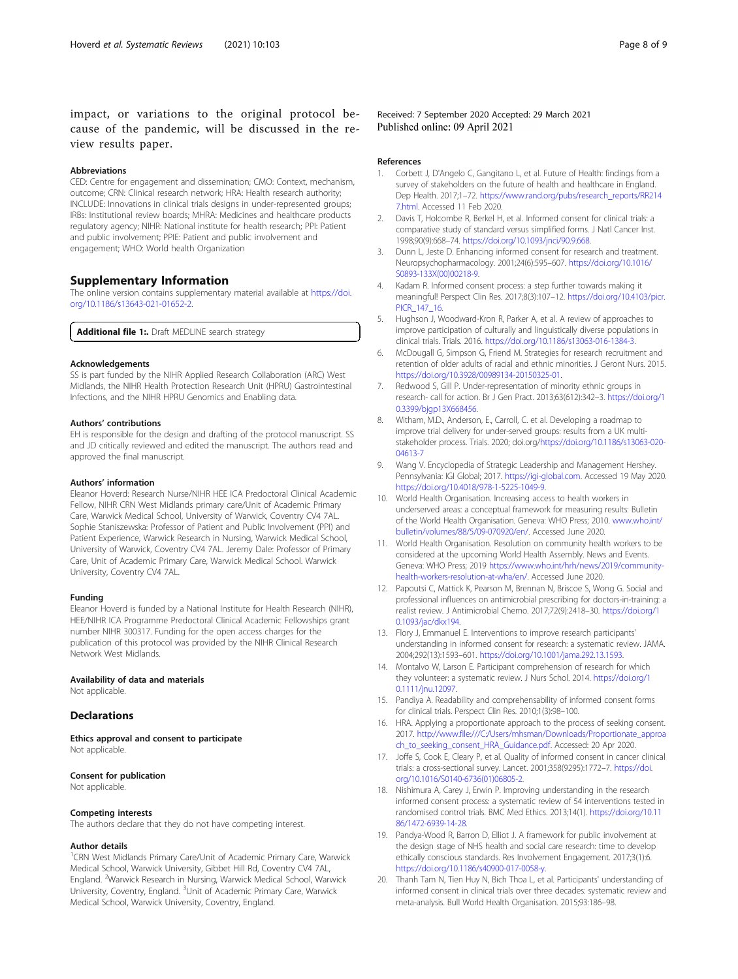<span id="page-7-0"></span>impact, or variations to the original protocol because of the pandemic, will be discussed in the review results paper.

#### Abbreviations

CED: Centre for engagement and dissemination; CMO: Context, mechanism, outcome; CRN: Clinical research network; HRA: Health research authority; INCLUDE: Innovations in clinical trials designs in under-represented groups; IRBs: Institutional review boards; MHRA: Medicines and healthcare products regulatory agency; NIHR: National institute for health research; PPI: Patient and public involvement; PPIE: Patient and public involvement and engagement; WHO: World health Organization

#### Supplementary Information

The online version contains supplementary material available at [https://doi.](https://doi.org/10.1186/s13643-021-01652-2) [org/10.1186/s13643-021-01652-2.](https://doi.org/10.1186/s13643-021-01652-2)

Additional file 1:. Draft MEDLINE search strategy

#### Acknowledgements

SS is part funded by the NIHR Applied Research Collaboration (ARC) West Midlands, the NIHR Health Protection Research Unit (HPRU) Gastrointestinal Infections, and the NIHR HPRU Genomics and Enabling data.

#### Authors' contributions

EH is responsible for the design and drafting of the protocol manuscript. SS and JD critically reviewed and edited the manuscript. The authors read and approved the final manuscript.

#### Authors' information

Eleanor Hoverd: Research Nurse/NIHR HEE ICA Predoctoral Clinical Academic Fellow, NIHR CRN West Midlands primary care/Unit of Academic Primary Care, Warwick Medical School, University of Warwick, Coventry CV4 7AL. Sophie Staniszewska: Professor of Patient and Public Involvement (PPI) and Patient Experience, Warwick Research in Nursing, Warwick Medical School, University of Warwick, Coventry CV4 7AL. Jeremy Dale: Professor of Primary Care, Unit of Academic Primary Care, Warwick Medical School. Warwick University, Coventry CV4 7AL.

#### Funding

Eleanor Hoverd is funded by a National Institute for Health Research (NIHR), HEE/NIHR ICA Programme Predoctoral Clinical Academic Fellowships grant number NIHR 300317. Funding for the open access charges for the publication of this protocol was provided by the NIHR Clinical Research Network West Midlands.

#### Availability of data and materials

Not applicable.

#### **Declarations**

Ethics approval and consent to participate Not applicable.

#### Consent for publication

Not applicable.

#### Competing interests

The authors declare that they do not have competing interest.

#### Author details

<sup>1</sup>CRN West Midlands Primary Care/Unit of Academic Primary Care, Warwick Medical School, Warwick University, Gibbet Hill Rd, Coventry CV4 7AL, England. <sup>2</sup>Warwick Research in Nursing, Warwick Medical School, Warwick University, Coventry, England. <sup>3</sup>Unit of Academic Primary Care, Warwick Medical School, Warwick University, Coventry, England.

Received: 7 September 2020 Accepted: 29 March 2021 Published online: 09 April 2021

#### References

- 1. Corbett J, D'Angelo C, Gangitano L, et al. Future of Health: findings from a survey of stakeholders on the future of health and healthcare in England. Dep Health. 2017;1–72. [https://www.rand.org/pubs/research\\_reports/RR214](https://www.rand.org/pubs/research_reports/RR2147.html) [7.html.](https://www.rand.org/pubs/research_reports/RR2147.html) Accessed 11 Feb 2020.
- 2. Davis T, Holcombe R, Berkel H, et al. Informed consent for clinical trials: a comparative study of standard versus simplified forms. J Natl Cancer Inst. 1998;90(9):668–74. <https://doi.org/10.1093/jnci/90.9.668>.
- 3. Dunn L, Jeste D. Enhancing informed consent for research and treatment. Neuropsychopharmacology. 2001;24(6):595–607. [https://doi.org/10.1016/](https://doi.org/10.1016/S0893-133X(00)00218-9) [S0893-133X\(00\)00218-9.](https://doi.org/10.1016/S0893-133X(00)00218-9)
- 4. Kadam R. Informed consent process: a step further towards making it meaningful! Perspect Clin Res. 2017;8(3):107–12. [https://doi.org/10.4103/picr.](https://doi.org/10.4103/picr.PICR_147_16) [PICR\\_147\\_16.](https://doi.org/10.4103/picr.PICR_147_16)
- 5. Hughson J, Woodward-Kron R, Parker A, et al. A review of approaches to improve participation of culturally and linguistically diverse populations in clinical trials. Trials. 2016. <https://doi.org/10.1186/s13063-016-1384-3>.
- 6. McDougall G, Simpson G, Friend M. Strategies for research recruitment and retention of older adults of racial and ethnic minorities. J Geront Nurs. 2015. [https://doi.org/10.3928/00989134-20150325-01.](https://doi.org/10.3928/00989134-20150325-01)
- 7. Redwood S, Gill P. Under-representation of minority ethnic groups in research- call for action. Br J Gen Pract. 2013;63(612):342–3. [https://doi.org/1](https://doi.org/10.3399/bjgp13X668456) 0.3399/bjgp13X668456
- 8. Witham, M.D., Anderson, E., Carroll, C. et al. Developing a roadmap to improve trial delivery for under-served groups: results from a UK multistakeholder process. Trials. 2020; doi.org[/https://doi.org/10.1186/s13063-020-](https://doi.org/10.1186/s13063-020-04613-7) [04613-7](https://doi.org/10.1186/s13063-020-04613-7)
- 9. Wang V. Encyclopedia of Strategic Leadership and Management Hershey. Pennsylvania: IGI Global; 2017. [https://igi-global.com.](https://igi-global.com) Accessed 19 May 2020. [https://doi.org/10.4018/978-1-5225-1049-9.](https://doi.org/10.4018/978-1-5225-1049-9)
- 10. World Health Organisation. Increasing access to health workers in underserved areas: a conceptual framework for measuring results: Bulletin of the World Health Organisation. Geneva: WHO Press; 2010. [www.who.int/](https://www.who.int/bulletin/volumes/88/5/09-070920/en/) [bulletin/volumes/88/5/09-070920/en/.](https://www.who.int/bulletin/volumes/88/5/09-070920/en/) Accessed June 2020.
- 11. World Health Organisation. Resolution on community health workers to be considered at the upcoming World Health Assembly. News and Events. Geneva: WHO Press; 2019 [https://www.who.int/hrh/news/2019/community](https://www.who.int/hrh/news/2019/community-health-workers-resolution-at-wha/en/)[health-workers-resolution-at-wha/en/.](https://www.who.int/hrh/news/2019/community-health-workers-resolution-at-wha/en/) Accessed June 2020.
- 12. Papoutsi C, Mattick K, Pearson M, Brennan N, Briscoe S, Wong G. Social and professional influences on antimicrobial prescribing for doctors-in-training: a realist review. J Antimicrobial Chemo. 2017;72(9):2418–30. [https://doi.org/1](https://doi.org/10.1093/jac/dkx194) [0.1093/jac/dkx194.](https://doi.org/10.1093/jac/dkx194)
- 13. Flory J, Emmanuel E. Interventions to improve research participants' understanding in informed consent for research: a systematic review. JAMA. 2004;292(13):1593–601. <https://doi.org/10.1001/jama.292.13.1593>.
- 14. Montalvo W, Larson E. Participant comprehension of research for which they volunteer: a systematic review. J Nurs Schol. 2014. [https://doi.org/1](https://doi.org/10.1111/jnu.12097) [0.1111/jnu.12097.](https://doi.org/10.1111/jnu.12097)
- 15. Pandiya A. Readability and comprehensability of informed consent forms for clinical trials. Perspect Clin Res. 2010;1(3):98–100.
- 16. HRA. Applying a proportionate approach to the process of seeking consent. 2017. [http://www.file:///C:/Users/mhsman/Downloads/Proportionate\\_approa](http://www.file///C:/Users/mhsman/Downloads/Proportionate_approach_to_seeking_consent_HRA_Guidance.pdf) [ch\\_to\\_seeking\\_consent\\_HRA\\_Guidance.pdf](http://www.file///C:/Users/mhsman/Downloads/Proportionate_approach_to_seeking_consent_HRA_Guidance.pdf). Accessed: 20 Apr 2020.
- 17. Joffe S, Cook E, Cleary P, et al. Quality of informed consent in cancer clinical trials: a cross-sectional survey. Lancet. 2001;358(9295):1772–7. [https://doi.](https://doi.org/10.1016/S0140-6736(01)06805-2) [org/10.1016/S0140-6736\(01\)06805-2.](https://doi.org/10.1016/S0140-6736(01)06805-2)
- 18. Nishimura A, Carey J, Erwin P. Improving understanding in the research informed consent process: a systematic review of 54 interventions tested in randomised control trials. BMC Med Ethics. 2013;14(1). [https://doi.org/10.11](https://doi.org/10.1186/1472-6939-14-28) [86/1472-6939-14-28](https://doi.org/10.1186/1472-6939-14-28).
- 19. Pandya-Wood R, Barron D, Elliot J. A framework for public involvement at the design stage of NHS health and social care research: time to develop ethically conscious standards. Res Involvement Engagement. 2017;3(1):6. [https://doi.org/10.1186/s40900-017-0058-y.](https://doi.org/10.1186/s40900-017-0058-y)
- 20. Thanh Tam N, Tien Huy N, Bich Thoa L, et al. Participants' understanding of informed consent in clinical trials over three decades: systematic review and meta-analysis. Bull World Health Organisation. 2015;93:186–98.